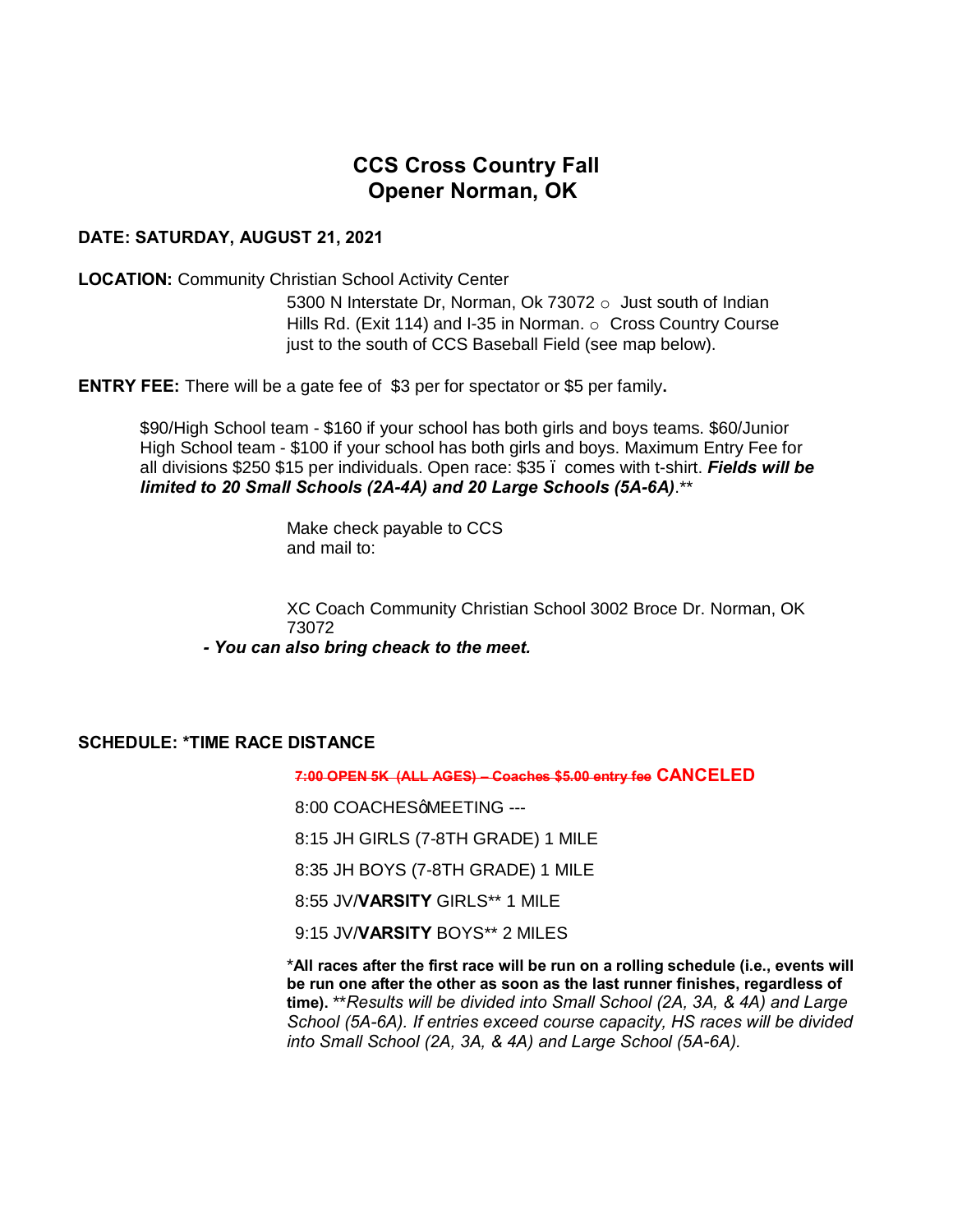# **CCS Cross Country Fall Opener Norman, OK**

### **DATE: SATURDAY, AUGUST 21, 2021**

**LOCATION:** Community Christian School Activity Center

5300 N Interstate Dr, Norman, Ok 73072 o Just south of Indian Hills Rd. (Exit 114) and I-35 in Norman. o Cross Country Course just to the south of CCS Baseball Field (see map below).

**ENTRY FEE:** There will be a gate fee of \$3 per for spectator or \$5 per family**.**

\$90/High School team - \$160 if your school has both girls and boys teams. \$60/Junior High School team - \$100 if your school has both girls and boys. Maximum Entry Fee for all divisions \$250 \$15 per individuals. Open race: \$35 – comes with t-shirt. *Fields will be limited to 20 Small Schools (2A-4A) and 20 Large Schools (5A-6A)*.\*\*

> Make check payable to CCS and mail to:

XC Coach Community Christian School 3002 Broce Dr. Norman, OK 73072

*- You can also bring cheack to the meet.*

#### **SCHEDULE: \*TIME RACE DISTANCE**

**7:00 OPEN 5K (ALL AGES) – Coaches \$5.00 entry fee CANCELED**

8:00 COACHESGMEETING ---

8:15 JH GIRLS (7-8TH GRADE) 1 MILE

8:35 JH BOYS (7-8TH GRADE) 1 MILE

8:55 JV/**VARSITY** GIRLS\*\* 1 MILE

9:15 JV/**VARSITY** BOYS\*\* 2 MILES

\***All races after the first race will be run on a rolling schedule (i.e., events will be run one after the other as soon as the last runner finishes, regardless of time).** \*\**Results will be divided into Small School (2A, 3A, & 4A) and Large School (5A-6A). If entries exceed course capacity, HS races will be divided into Small School (2A, 3A, & 4A) and Large School (5A-6A).*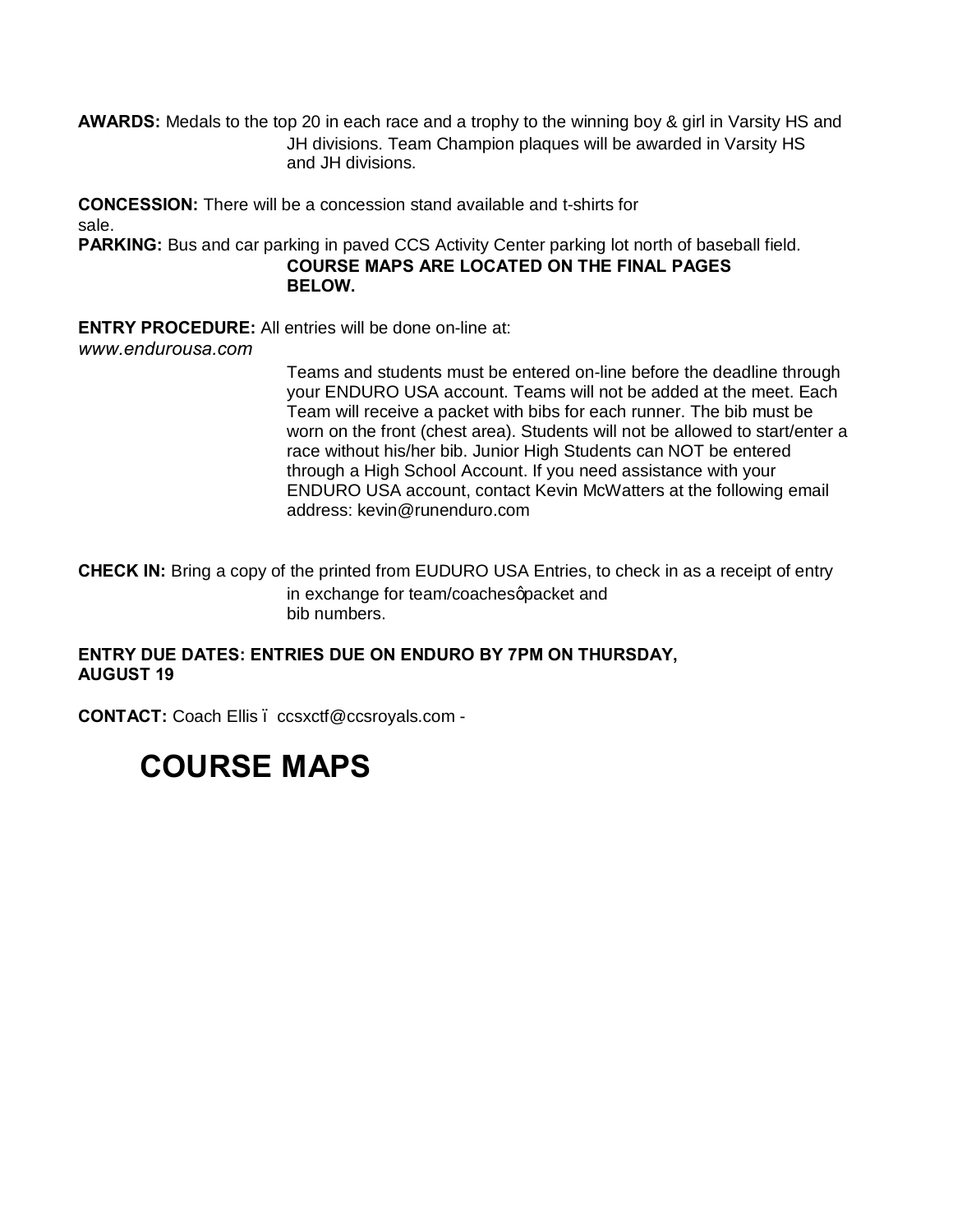**AWARDS:** Medals to the top 20 in each race and a trophy to the winning boy & girl in Varsity HS and JH divisions. Team Champion plaques will be awarded in Varsity HS and JH divisions.

**CONCESSION:** There will be a concession stand available and t-shirts for sale.

**PARKING:** Bus and car parking in paved CCS Activity Center parking lot north of baseball field.

**COURSE MAPS ARE LOCATED ON THE FINAL PAGES BELOW.**

**ENTRY PROCEDURE:** All entries will be done on-line at:

*www.endurousa.com*

Teams and students must be entered on-line before the deadline through your ENDURO USA account. Teams will not be added at the meet. Each Team will receive a packet with bibs for each runner. The bib must be worn on the front (chest area). Students will not be allowed to start/enter a race without his/her bib. Junior High Students can NOT be entered through a High School Account. If you need assistance with your ENDURO USA account, contact Kevin McWatters at the following email address: kevin@runenduro.com

**CHECK IN:** Bring a copy of the printed from EUDURO USA Entries, to check in as a receipt of entry in exchange for team/coachesqpacket and bib numbers.

## **ENTRY DUE DATES: ENTRIES DUE ON ENDURO BY 7PM ON THURSDAY, AUGUST 19**

**CONTACT:** Coach Ellis – ccsxctf@ccsroyals.com -

# **COURSE MAPS**